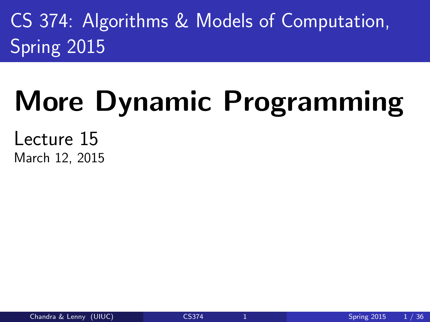CS 374: Algorithms & Models of Computation, Spring 2015

# More Dynamic Programming

<span id="page-0-0"></span>Lecture 15 March 12, 2015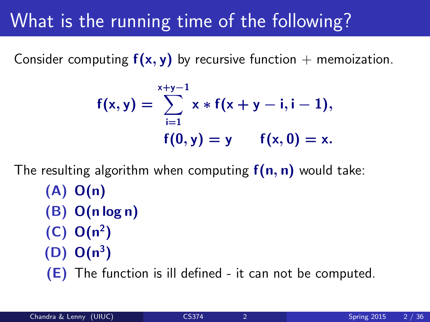### What is the running time of the following?

Consider computing  $f(x, y)$  by recursive function + memoization.

$$
f(x,y) = \sum_{i=1}^{x+y-1} x * f(x + y - i, i - 1),
$$
  
 
$$
f(0,y) = y \qquad f(x,0) = x.
$$

The resulting algorithm when computing  $f(n, n)$  would take: (A) O(n) (B) O(n log n)  $(C) O(n^2)$  $(D) O(n^3)$ (E) The function is ill defined - it can not be computed.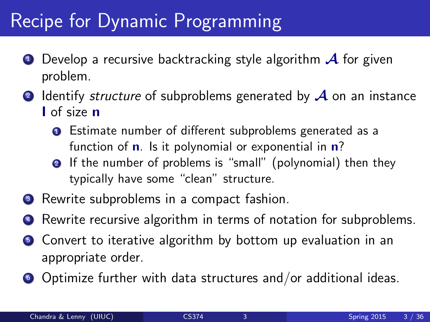### Recipe for Dynamic Programming

- $\bullet$  Develop a recursive backtracking style algorithm  $\mathcal A$  for given problem.
- **2** Identify *structure* of subproblems generated by  $\mathcal A$  on an instance I of size n
	- **Q** Estimate number of different subproblems generated as a function of  $\mathbf n$ . Is it polynomial or exponential in  $\mathbf n$ ?
	- **2** If the number of problems is "small" (polynomial) then they typically have some "clean" structure.
- Rewrite subproblems in a compact fashion.
- Rewrite recursive algorithm in terms of notation for subproblems.
- **•** Convert to iterative algorithm by bottom up evaluation in an appropriate order.
- **•** Optimize further with data structures and/or additional ideas.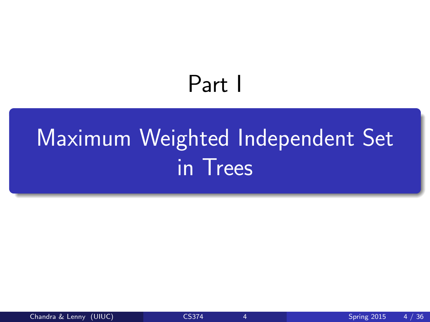# <span id="page-3-0"></span>Part I

# [Maximum Weighted Independent Set](#page-3-0) [in Trees](#page-3-0)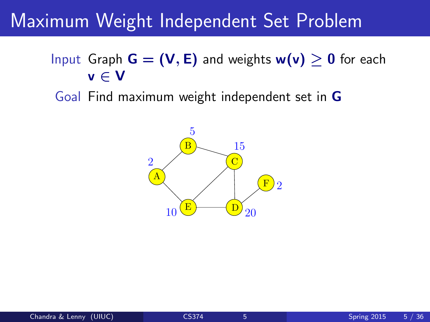### Maximum Weight Independent Set Problem

- Input Graph  $G = (V, E)$  and weights  $w(v) \ge 0$  for each v ∈ V
	- Goal Find maximum weight independent set in G

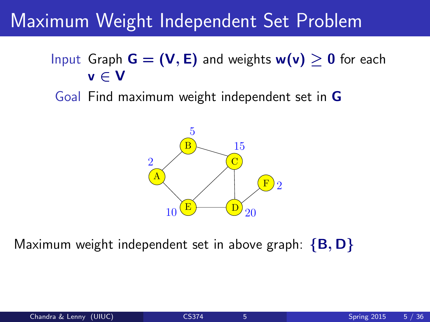### Maximum Weight Independent Set Problem

- Input Graph  $G = (V, E)$  and weights  $w(v) > 0$  for each v ∈ V
- Goal Find maximum weight independent set in G



Maximum weight independent set in above graph:  ${B, D}$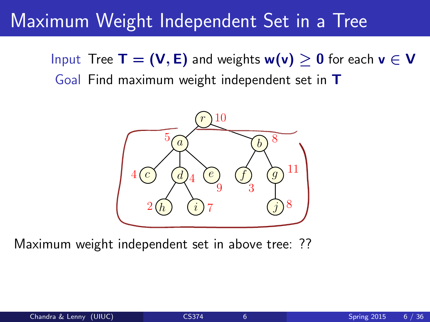### Maximum Weight Independent Set in a Tree

Input Tree  $\mathsf{T} = (\mathsf{V}, \mathsf{E})$  and weights  $\mathsf{w}(\mathsf{v}) \geq 0$  for each  $\mathsf{v} \in \mathsf{V}$ Goal Find maximum weight independent set in T



Maximum weight independent set in above tree: ??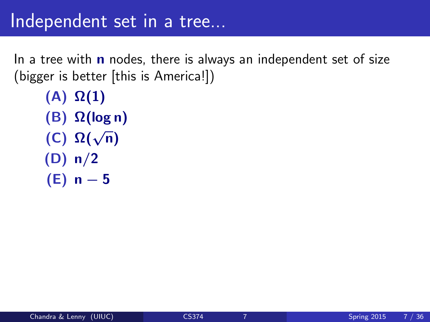In a tree with  $\bf{n}$  nodes, there is always an independent set of size (bigger is better [this is America!])

```
(A) \Omega(1)(B) Ω(log n)
(C) Ω(√
n)
(D) n/2
(E) n – 5
```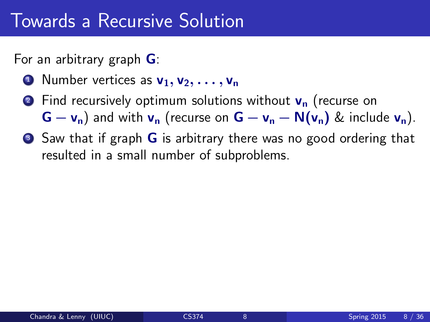For an arbitrary graph G:

- **1** Number vertices as  $v_1, v_2, \ldots, v_n$
- **2** Find recursively optimum solutions without  $v_n$  (recurse on  $G - v_n$ ) and with  $v_n$  (recurse on  $G - v_n - N(v_n)$  & include  $v_n$ ).
- Saw that if graph **G** is arbitrary there was no good ordering that resulted in a small number of subproblems.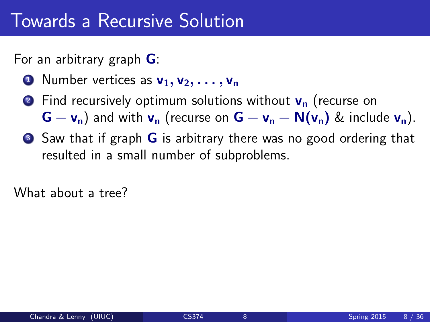For an arbitrary graph G:

- **1** Number vertices as  $v_1, v_2, \ldots, v_n$
- **2** Find recursively optimum solutions without  $v_n$  (recurse on  $G - v_n$ ) and with  $v_n$  (recurse on  $G - v_n - N(v_n)$  & include  $v_n$ ).
- Saw that if graph **G** is arbitrary there was no good ordering that resulted in a small number of subproblems.

What about a tree?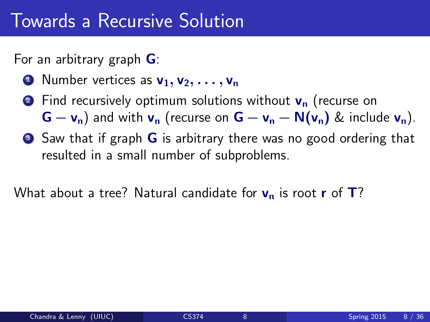For an arbitrary graph G:

- **1** Number vertices as  $v_1, v_2, \ldots, v_n$
- **2** Find recursively optimum solutions without  $v_n$  (recurse on  $G - v_n$ ) and with  $v_n$  (recurse on  $G - v_n - N(v_n)$  & include  $v_n$ ).
- Saw that if graph **G** is arbitrary there was no good ordering that resulted in a small number of subproblems.

What about a tree? Natural candidate for  $v_n$  is root r of  $T$ ?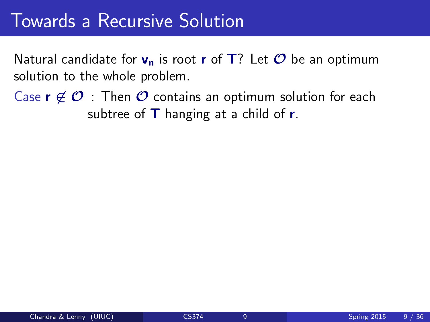Natural candidate for  $v_n$  is root r of T? Let  $\mathcal O$  be an optimum solution to the whole problem.

Case  $r \notin \mathcal{O}$  : Then  $\mathcal O$  contains an optimum solution for each subtree of  **hanging at a child of**  $**r**$ **.**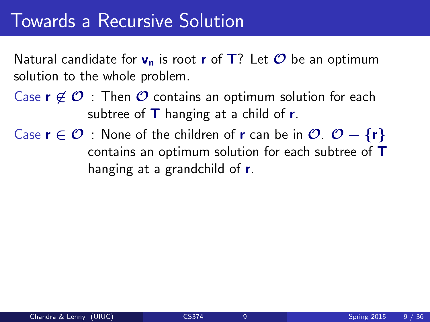Natural candidate for  $v_n$  is root r of T? Let  $\mathcal O$  be an optimum solution to the whole problem.

- Case  $r \notin \mathcal{O}$  : Then  $\mathcal O$  contains an optimum solution for each subtree of  $\mathsf T$  hanging at a child of  $\mathsf r$ .
- Case  $r \in \mathcal{O}$  : None of the children of r can be in  $\mathcal{O}$ .  $\mathcal{O} \{r\}$ contains an optimum solution for each subtree of T hanging at a grandchild of r.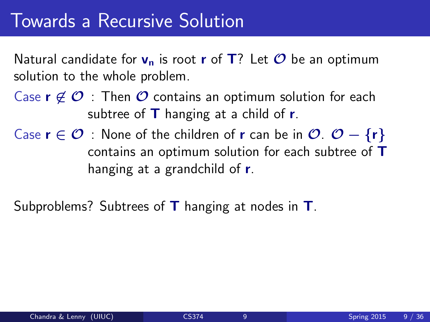Natural candidate for  $v_n$  is root r of T? Let  $\mathcal O$  be an optimum solution to the whole problem.

- Case  $r \notin \mathcal{O}$  : Then  $\mathcal O$  contains an optimum solution for each subtree of  $\mathsf T$  hanging at a child of  $\mathsf r$ .
- Case  $r \in \mathcal{O}$  : None of the children of r can be in  $\mathcal{O}$ .  $\mathcal{O} \{r\}$ contains an optimum solution for each subtree of T hanging at a grandchild of r.

Subproblems? Subtrees of  $\mathsf T$  hanging at nodes in  $\mathsf T$ .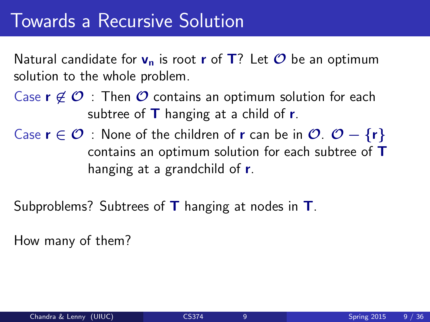Natural candidate for  $v_n$  is root r of T? Let  $\mathcal O$  be an optimum solution to the whole problem.

- Case  $r \notin \mathcal{O}$  : Then  $\mathcal O$  contains an optimum solution for each subtree of  $\mathsf T$  hanging at a child of  $\mathsf r$ .
- Case  $r \in \mathcal{O}$  : None of the children of r can be in  $\mathcal{O}$ .  $\mathcal{O} \{r\}$ contains an optimum solution for each subtree of T hanging at a grandchild of r.

Subproblems? Subtrees of  $\mathsf T$  hanging at nodes in  $\mathsf T$ .

How many of them?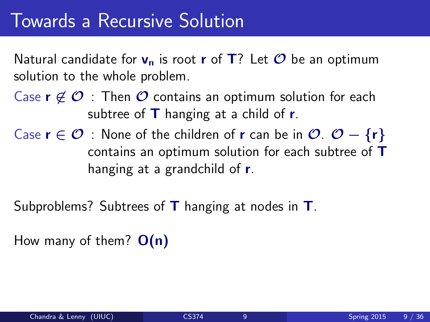Natural candidate for  $v_n$  is root r of T? Let  $\mathcal O$  be an optimum solution to the whole problem.

- Case  $r \notin \mathcal{O}$  : Then  $\mathcal O$  contains an optimum solution for each subtree of  $\mathsf T$  hanging at a child of  $\mathsf r$ .
- Case  $r \in \mathcal{O}$  : None of the children of r can be in  $\mathcal{O}$ .  $\mathcal{O} \{r\}$ contains an optimum solution for each subtree of T hanging at a grandchild of r.

Subproblems? Subtrees of  $\mathsf T$  hanging at nodes in  $\mathsf T$ .

How many of them?  $O(n)$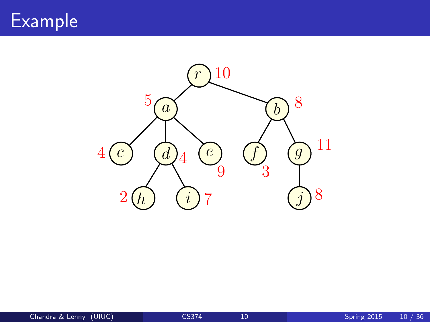

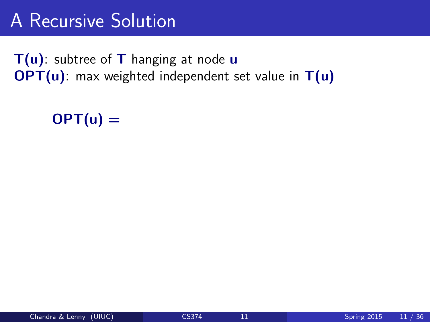### A Recursive Solution

 $T(u)$ : subtree of T hanging at node u  $OPT(u)$ : max weighted independent set value in  $T(u)$ 

#### $OPT(u) =$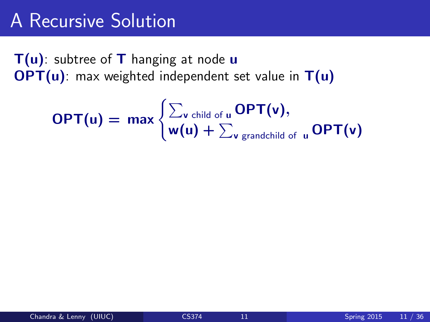### A Recursive Solution

 $T(u)$ : subtree of T hanging at node u  $OPT(u)$ : max weighted independent set value in  $T(u)$ 

$$
\mathsf{OPT}(u) = \max \begin{cases} \sum_{v \text{ child of } u} \mathsf{OPT}(v), \\ w(u) + \sum_{v \text{ grandchild of } u} \mathsf{OPT}(v) \end{cases}
$$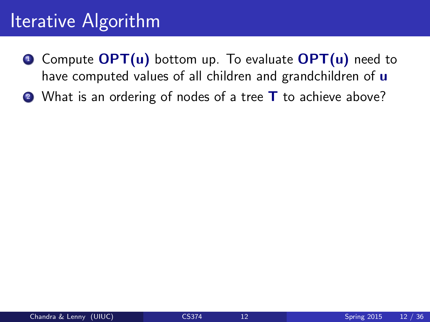- $\bullet$  Compute  $\mathsf{OPT}(u)$  bottom up. To evaluate  $\mathsf{OPT}(u)$  need to have computed values of all children and grandchildren of  $\mathbf u$
- 2 What is an ordering of nodes of a tree **T** to achieve above?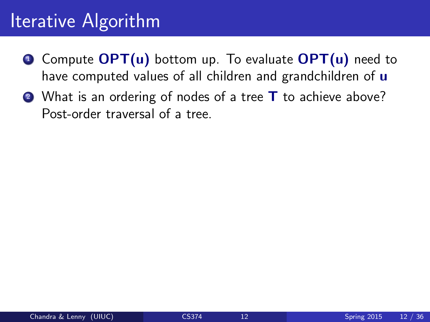- $\bullet$  Compute  $\mathsf{OPT}(u)$  bottom up. To evaluate  $\mathsf{OPT}(u)$  need to have computed values of all children and grandchildren of  $\mathbf u$
- 2 What is an ordering of nodes of a tree **T** to achieve above? Post-order traversal of a tree.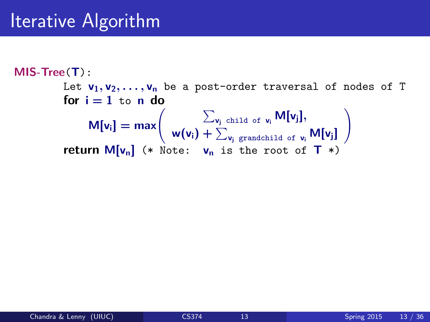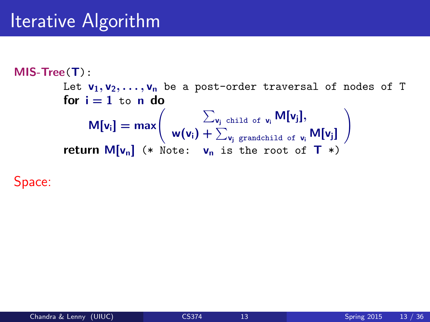

Space: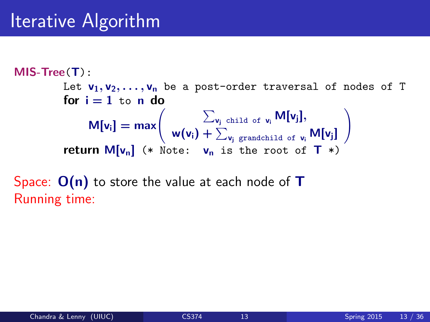$$
\begin{array}{ll}\n\text{MIS-Tree}(T): \\
\text{Let } v_1, v_2, \ldots, v_n \text{ be a post-order traversal of nodes of T} \\
\text{for } i = 1 \text{ to } n \text{ do} \\
M[v_i] = \max \left( \sum_{v_j \text{ child of } v_i} M[v_j], \right. \\
\text{return } M[v_n] \quad (* \text{ Note: } v_n \text{ is the root of } T*)\n\end{array}
$$

Space:  $O(n)$  to store the value at each node of T Running time: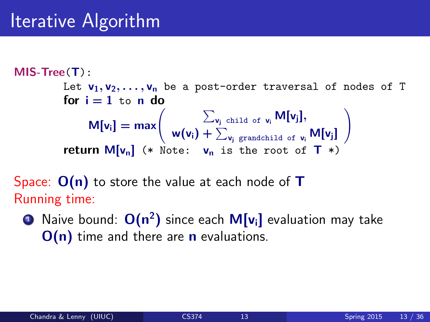

Space:  $O(n)$  to store the value at each node of  $T$ Running time:

 $\textcolor{blue}{{\mathsf{D}}}$  Naive bound:  $\textsf{O}({\mathsf{n}}^2)$  since each  $\textsf{M}[{\mathsf{v}}_{{\mathsf{i}}}]$  evaluation may take  $O(n)$  time and there are **n** evaluations.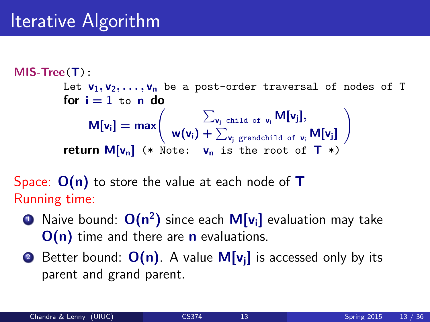$$
\begin{array}{ll}\n\text{MIS-Tree}(T): \\
\text{Let } v_1, v_2, \ldots, v_n \text{ be a post-order traversal of nodes of T} \\
\text{for } i = 1 \text{ to } n \text{ do} \\
M[v_i] = \max \left( \sum_{v_j \text{ child of } v_i} M[v_j], \right. \\
\text{return } M[v_n] \quad (* \text{ Note: } v_n \text{ is the root of } T \end{array} \right)
$$

Space:  $O(n)$  to store the value at each node of  $T$ Running time:

- $\textcolor{blue}{{\mathsf{D}}}$  Naive bound:  $\textsf{O}({\mathsf{n}}^2)$  since each  $\textsf{M}[{\mathsf{v}}_{{\mathsf{i}}}]$  evaluation may take  $O(n)$  time and there are **n** evaluations.
- **2** Better bound:  $O(n)$ . A value  $M[v_i]$  is accessed only by its parent and grand parent.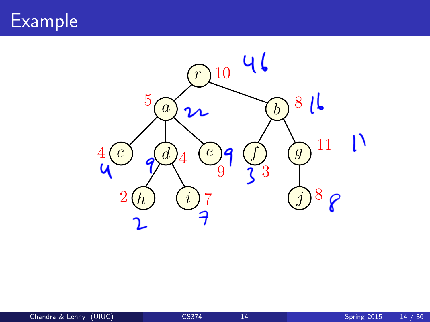### Example

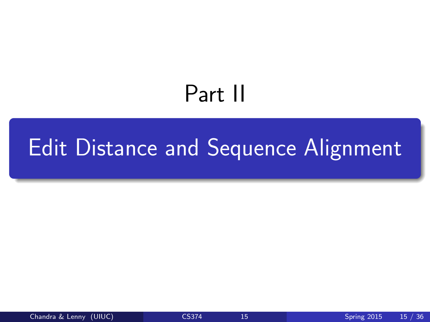# <span id="page-27-0"></span>Part II

## [Edit Distance and Sequence Alignment](#page-27-0)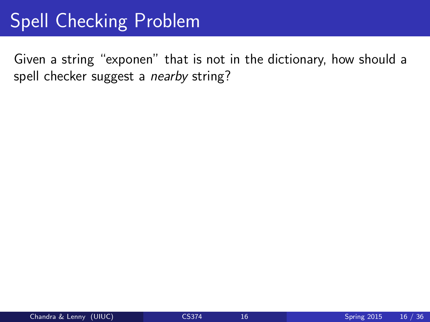### Spell Checking Problem

Given a string "exponen" that is not in the dictionary, how should a spell checker suggest a nearby string?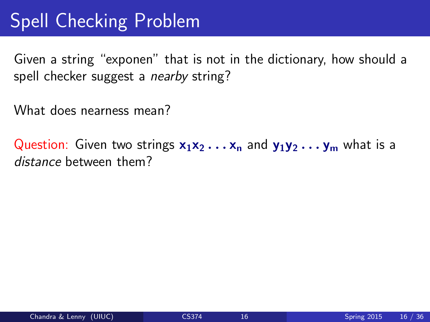### Spell Checking Problem

Given a string "exponen" that is not in the dictionary, how should a spell checker suggest a *nearby* string?

What does nearness mean?

Question: Given two strings  $x_1x_2 \ldots x_n$  and  $y_1y_2 \ldots y_m$  what is a distance between them?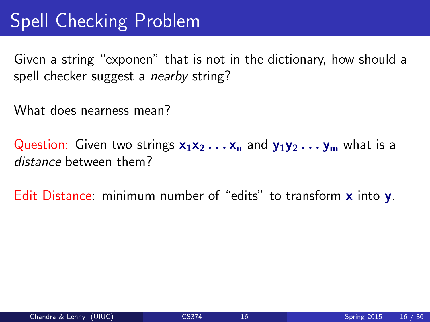### Spell Checking Problem

Given a string "exponen" that is not in the dictionary, how should a spell checker suggest a *nearby* string?

What does nearness mean?

Question: Given two strings  $x_1x_2 \ldots x_n$  and  $y_1y_2 \ldots y_m$  what is a distance between them?

Edit Distance: minimum number of "edits" to transform x into y.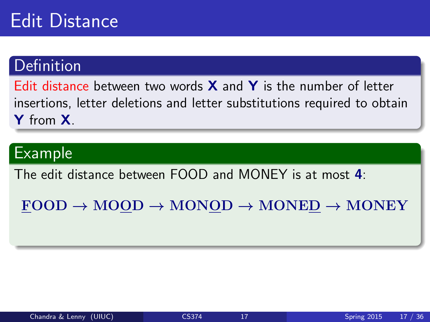### Edit Distance

#### **Definition**

Edit distance between two words  $X$  and  $Y$  is the number of letter insertions, letter deletions and letter substitutions required to obtain Y from **X**.

#### Example

The edit distance between FOOD and MONEY is at most 4:

 $FOOD \rightarrow MOOD \rightarrow MONOD \rightarrow MONED \rightarrow MONEY$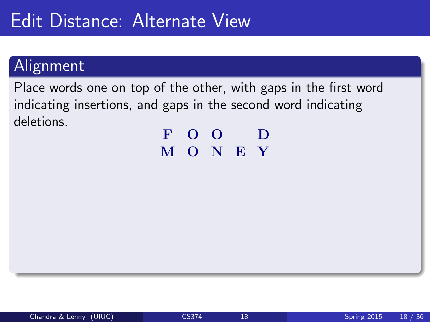### Edit Distance: Alternate View

#### Alignment

Place words one on top of the other, with gaps in the first word indicating insertions, and gaps in the second word indicating deletions.

F O O D M O N E Y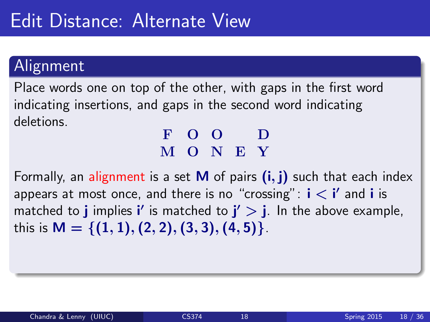### Edit Distance: Alternate View

#### Alignment

Place words one on top of the other, with gaps in the first word indicating insertions, and gaps in the second word indicating deletions.

#### F O O D M O N E Y

Formally, an alignment is a set **M** of pairs  $(i, j)$  such that each index appears at most once, and there is no "crossing":  $\mathbf{i} < \mathbf{i}'$  and  $\mathbf{i}$  is matched to **j** implies i' is matched to  $j' > j$ . In the above example, this is  $M = \{(1, 1), (2, 2), (3, 3), (4, 5)\}.$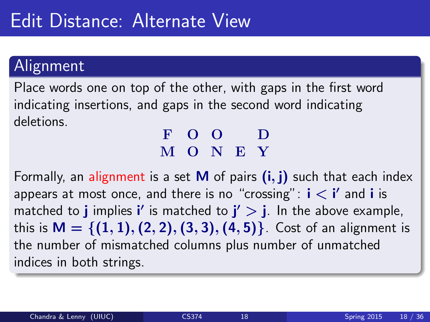#### Alignment

Place words one on top of the other, with gaps in the first word indicating insertions, and gaps in the second word indicating deletions.

#### F O O D M O N E Y

Formally, an alignment is a set **M** of pairs  $(i, j)$  such that each index appears at most once, and there is no "crossing":  $\mathbf{i} < \mathbf{i}'$  and  $\mathbf{i}$  is matched to **j** implies i' is matched to  $j' > j$ . In the above example, this is  $M = \{(1, 1), (2, 2), (3, 3), (4, 5)\}\)$ . Cost of an alignment is the number of mismatched columns plus number of unmatched indices in both strings.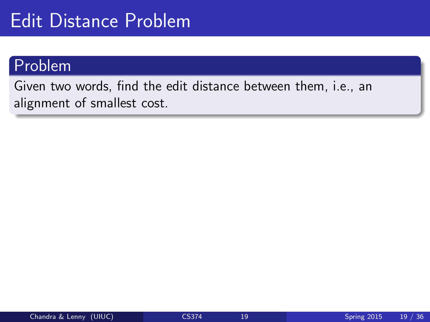### Edit Distance Problem

#### Problem

Given two words, find the edit distance between them, i.e., an alignment of smallest cost.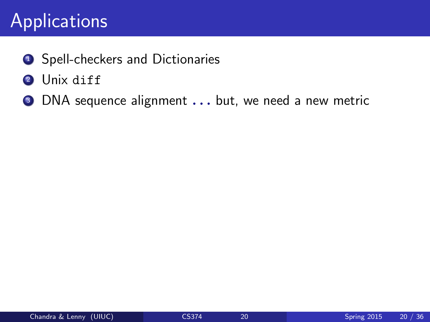### Applications

- **1** Spell-checkers and Dictionaries
- 2 Unix diff
- **3** DNA sequence alignment . . . but, we need a new metric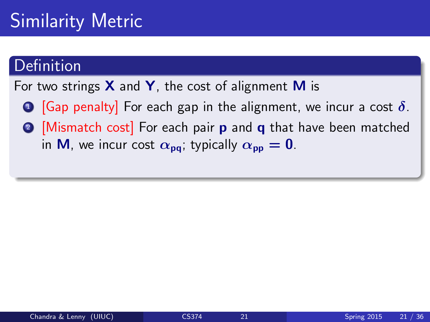### Similarity Metric

#### Definition

For two strings  $X$  and  $Y$ , the cost of alignment M is

- **1** [Gap penalty] For each gap in the alignment, we incur a cost  $\delta$ .
- **2** [Mismatch cost] For each pair **p** and **q** that have been matched in M, we incur cost  $\alpha_{pq}$ ; typically  $\alpha_{pp} = 0$ .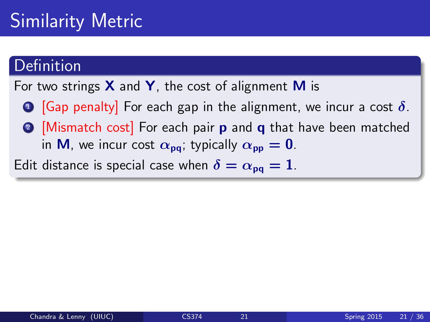### Similarity Metric

#### Definition

For two strings  $X$  and  $Y$ , the cost of alignment M is

- **1** [Gap penalty] For each gap in the alignment, we incur a cost  $\delta$ .
- **2** [Mismatch cost] For each pair **p** and **q** that have been matched in M, we incur cost  $\alpha_{\text{pa}}$ ; typically  $\alpha_{\text{pp}} = 0$ .

Edit distance is special case when  $\delta = \alpha_{\text{no}} = 1$ .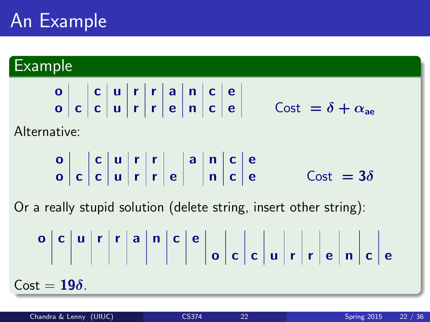### An Example

#### Example

o c u r r a n c e o c c u r r e n c e Cost = δ + αae

Alternative:

o c u r r a n c e o c c u r r e n c e Cost = 3δ

Or a really stupid solution (delete string, insert other string):

o c u r r a n c e o c c u r r e n c e Cost = 19δ.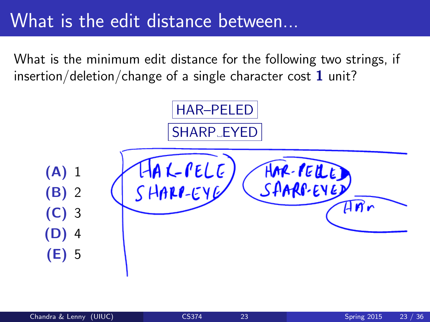### What is the edit distance between...

What is the minimum edit distance for the following two strings, if insertion/deletion/change of a single character cost  $1$  unit?

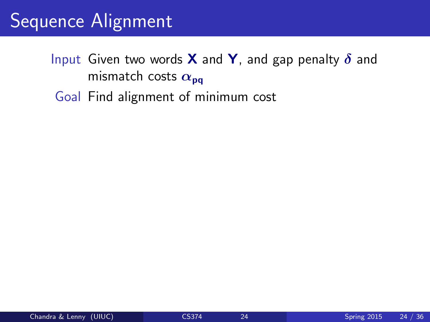### Sequence Alignment

- Input Given two words **X** and **Y**, and gap penalty  $\delta$  and mismatch costs  $\alpha_{\text{pa}}$ 
	- Goal Find alignment of minimum cost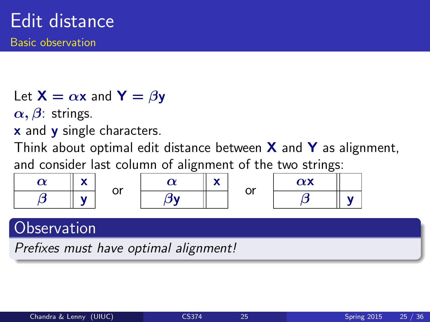Let  $X = \alpha x$  and  $Y = \beta y$ 

 $\alpha, \beta$ : strings.

x and **y** single characters.

Think about optimal edit distance between  $X$  and  $Y$  as alignment.

and consider last column of alignment of the two strings:

|  | or | <br> | ~~<br>ັ | $\sim$<br>$\sim\,$ |  |
|--|----|------|---------|--------------------|--|
|  |    |      |         |                    |  |

#### **Observation**

Prefixes must have optimal alignment!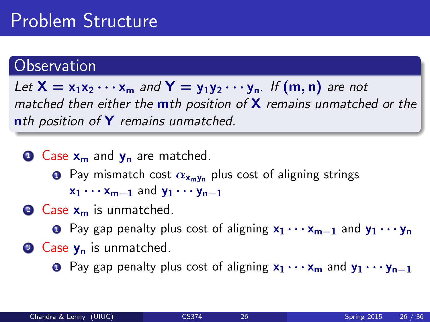### Problem Structure

#### **Observation**

Let  $X = x_1x_2 \cdots x_m$  and  $Y = y_1y_2 \cdots y_n$ . If  $(m, n)$  are not matched then either the  $m$ th position of  $X$  remains unmatched or the nth position of Y remains unmatched.

 $\bullet$  Case  $x_m$  and  $y_n$  are matched.

- **1** Pay mismatch cost  $\alpha_{x_m y_n}$  plus cost of aligning strings  $x_1 \cdots x_{m-1}$  and  $y_1 \cdots y_{n-1}$
- $\bullet$  Case  $x_m$  is unmatched.

**1** Pay gap penalty plus cost of aligning  $x_1 \cdots x_{m-1}$  and  $y_1 \cdots y_n$ 

 $\bullet$  Case  $y_n$  is unmatched.

 $\bullet$  Pay gap penalty plus cost of aligning  $x_1 \cdots x_m$  and  $y_1 \cdots y_{n-1}$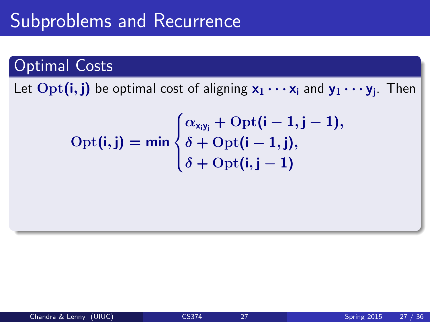### Subproblems and Recurrence

#### Optimal Costs

Let  $\mathrm{Opt}(\mathbf{i},\mathbf{j})$  be optimal cost of aligning  $\mathsf{x}_1\cdots \mathsf{x}_\mathsf{i}$  and  $\mathsf{y}_1\cdots \mathsf{y}_\mathsf{j}$ . Then

$$
Opt(i, j) = min \begin{cases} \alpha_{x_i y_j} + Opt(i - 1, j - 1), \\ \delta + Opt(i - 1, j), \\ \delta + Opt(i, j - 1) \end{cases}
$$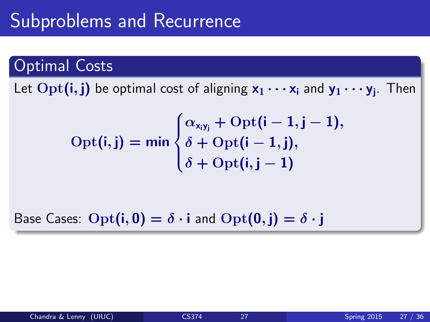### Subproblems and Recurrence

#### Optimal Costs

Let  $\mathrm{Opt}(\mathbf{i},\mathbf{j})$  be optimal cost of aligning  $\mathsf{x}_1\cdots \mathsf{x}_\mathsf{i}$  and  $\mathsf{y}_1\cdots \mathsf{y}_\mathsf{j}$ . Then

$$
Opt(i, j) = min \begin{cases} \alpha_{x_i y_j} + Opt(i - 1, j - 1), \\ \delta + Opt(i - 1, j), \\ \delta + Opt(i, j - 1) \end{cases}
$$

Base Cases:  $\text{Opt}(i, 0) = \delta \cdot i$  and  $\text{Opt}(0, j) = \delta \cdot j$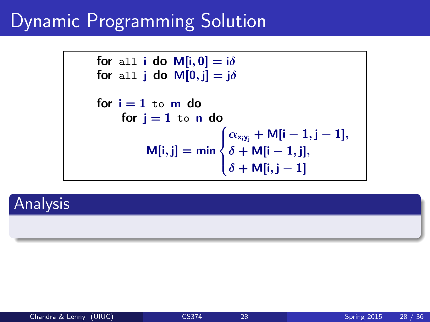### Dynamic Programming Solution

```
for all i do M[i, 0] = i\deltafor all j do M[0, j] = i\deltafor i = 1 to m do
      for i = 1 to n do
             M[i, j] = min\sqrt{ }\int\mathcal{L}\alpha_{x_iy_j} + M[i – 1, j – 1],
                                   \delta + M[i - 1, j],
                                   \delta + \mathsf{M}[\mathsf{i},\mathsf{j}-1]
```
#### Analysis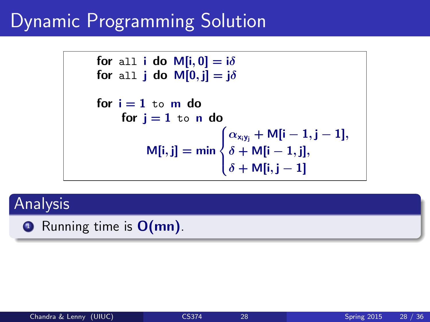### Dynamic Programming Solution

```
for all i do M[i, 0] = i\deltafor all j do M[0, j] = i\deltafor i = 1 to m do
      for i = 1 to n do
             M[i, j] = min\sqrt{ }\int\mathcal{L}\alpha_{x_iy_j} + M[i – 1, j – 1],
                                   \delta + M[i - 1, j],
                                   \delta + \mathsf{M}[\mathsf{i},\mathsf{j}-1]
```
#### Analysis

 $\bullet$  Running time is  $O(mn)$ .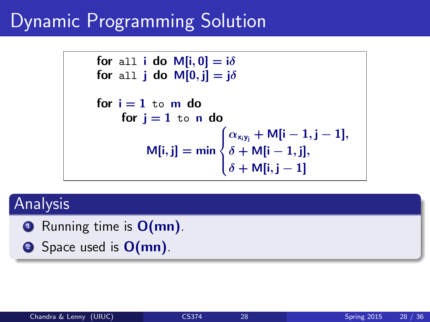### Dynamic Programming Solution

```
for all i do M[i, 0] = i\deltafor all j do M[0, j] = i\deltafor i = 1 to m do
      for i = 1 to n do
             M[i, j] = min\sqrt{ }\int\mathcal{L}\alpha_{x_iy_j} + M[i – 1, j – 1],
                                   \delta + M[i - 1, j],
                                   \delta + \mathsf{M}[\mathsf{i},\mathsf{j}-1]
```
#### Analysis

 $\bullet$  Running time is  $O(mn)$ .

**2** Space used is **O(mn)**.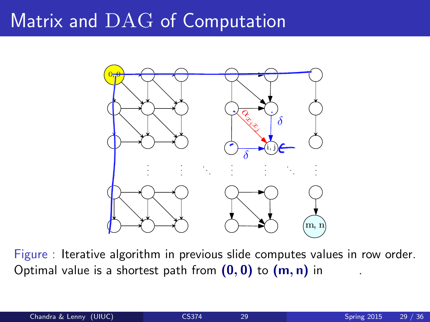### Matrix and DAG of Computation



Figure : Iterative algorithm in previous slide computes values in row order. Optimal value is a shortest path from  $(0, 0)$  to  $(m, n)$  in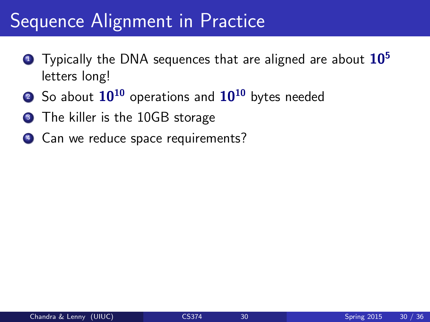### Sequence Alignment in Practice

- **1** Typically the DNA sequences that are aligned are about  $10<sup>5</sup>$ letters long!
- 2 So about  $10^{10}$  operations and  $10^{10}$  bytes needed
- **3** The killer is the 10GB storage
- 4 Can we reduce space requirements?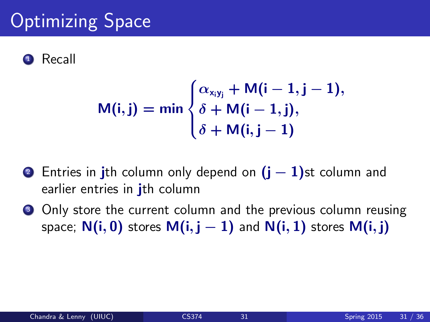### **Optimizing Space**



$$
M(i,j) = min \begin{cases} \alpha_{x_iy_j} + M(i-1,j-1), \\ \delta + M(i-1,j), \\ \delta + M(i,j-1) \end{cases}
$$

- 2 Entries in jth column only depend on  $(i 1)$ st column and earlier entries in *i*th column
- **3** Only store the current column and the previous column reusing space;  $N(i, 0)$  stores  $M(i, j - 1)$  and  $N(i, 1)$  stores  $M(i, j)$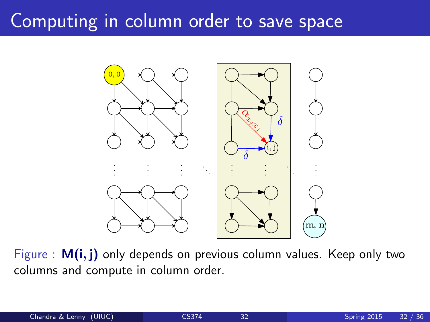### Computing in column order to save space



Figure :  $M(i, j)$  only depends on previous column values. Keep only two columns and compute in column order.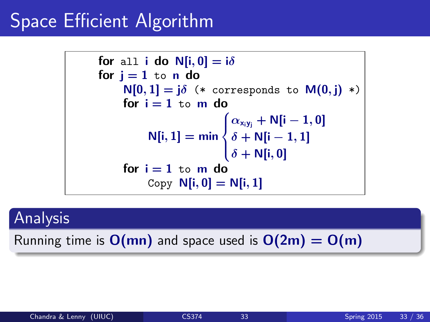### Space Efficient Algorithm

for all i do N[i, 0] = 
$$
i\delta
$$

\nfor j = 1 to n do

\n $N[0, 1] = j\delta$  (\* corresponds to M(0, j) \*)

\nfor i = 1 to m do

\n $N[i, 1] = \min\begin{cases} \alpha_{x_i y_j} + N[i - 1, 0] \\ \delta + N[i - 1, 1] \\ \delta + N[i, 0] \end{cases}$ 

\nfor i = 1 to m do

\nCopy N[i, 0] = N[i, 1]

#### Analysis

Running time is  $O(mn)$  and space used is  $O(2m) = O(m)$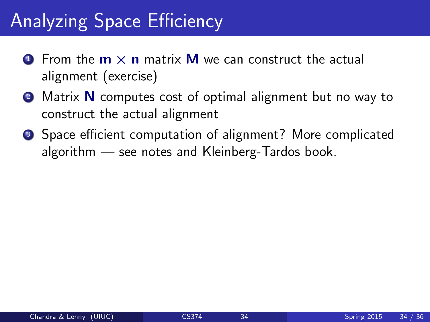### Analyzing Space Efficiency

- **O** From the  $m \times n$  matrix **M** we can construct the actual alignment (exercise)
- **2** Matrix **N** computes cost of optimal alignment but no way to construct the actual alignment
- Space efficient computation of alignment? More complicated algorithm — see notes and Kleinberg-Tardos book.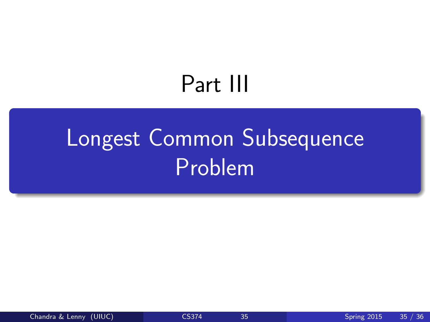# <span id="page-55-0"></span>Part III

# [Longest Common Subsequence](#page-55-0) [Problem](#page-55-0)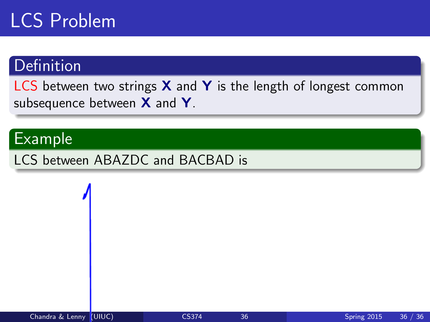### LCS Problem

#### **Definition**

LCS between two strings  $X$  and  $Y$  is the length of longest common subsequence between  $X$  and  $Y$ .

#### Example

LCS between ABAZDC and BACBAD is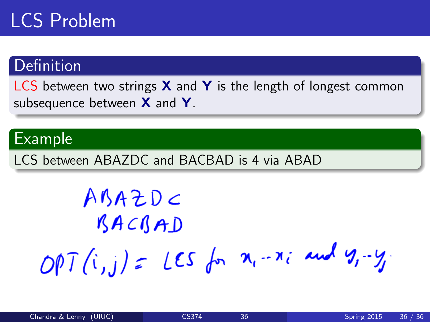### LCS Problem

#### **Definition**

LCS between two strings  $X$  and  $Y$  is the length of longest common subsequence between  $X$  and  $Y$ .

#### Example

LCS between ABAZDC and BACBAD is 4 via ABAD

<span id="page-57-0"></span> $ABAZDC$ BACBAD OPT  $(i,j)$  = LES for  $x_i - x_i$  and  $y_i - y_i$ .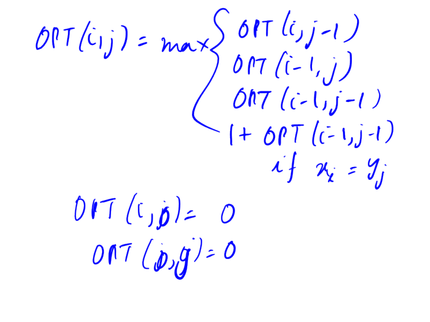OPT(cij) = max  $\left\{\begin{array}{l} 0PT(i,j-1) \\ 0PT(i-1,j) \\ 0PT(i-1,j-1) \\ 1+ 0PT(i-1,j-1) \end{array}\right.$  $\mathcal{U}_f$   $\mathcal{U}_\mathcal{X}$  =  $\mathcal{Y}_j$  $OPT(i,j)=0$  $OPT(\rho, g) = 0$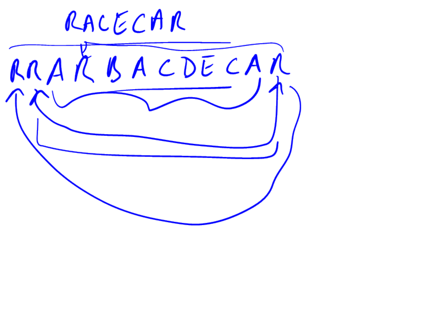